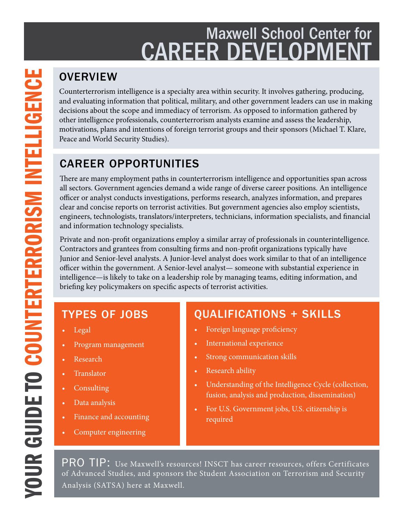# Maxwell School Center for **CAREER DEVELOPMEN**

Counterterrorism intelligence is a specialty area within security. It involves gathering, producing, and evaluating information that political, military, and other government leaders can use in making decisions about the scope and immediacy of terrorism. As opposed to information gathered by other intelligence professionals, counterterrorism analysts examine and assess the leadership, motivations, plans and intentions of foreign terrorist groups and their sponsors (Michael T. Klare, Peace and World Security Studies).

## CAREER OPPORTUNITIES

There are many employment paths in counterterrorism intelligence and opportunities span across all sectors. Government agencies demand a wide range of diverse career positions. An intelligence officer or analyst conducts investigations, performs research, analyzes information, and prepares clear and concise reports on terrorist activities. But government agencies also employ scientists, engineers, technologists, translators/interpreters, technicians, information specialists, and financial and information technology specialists.

Private and non-profit organizations employ a similar array of professionals in counterintelligence. Contractors and grantees from consulting firms and non-profit organizations typically have Junior and Senior-level analysts. A Junior-level analyst does work similar to that of an intelligence officer within the government. A Senior-level analyst— someone with substantial experience in intelligence—is likely to take on a leadership role by managing teams, editing information, and briefing key policymakers on specific aspects of terrorist activities.

## TYPES OF JOBS

- Legal
- Program management
- **Research**
- **Translator**
- **Consulting**
- Data analysis
- Finance and accounting
- Computer engineering

## QUALIFICATIONS + SKILLS

- Foreign language proficiency
- International experience
- Strong communication skills
- Research ability
- Understanding of the Intelligence Cycle (collection, fusion, analysis and production, dissemination)
- For U.S. Government jobs, U.S. citizenship is required

PRO TIP: Use Maxwell's resources! INSCT has career resources, offers Certificates of Advanced Studies, and sponsors the Student Association on Terrorism and Security Analysis (SATSA) here at Maxwell.